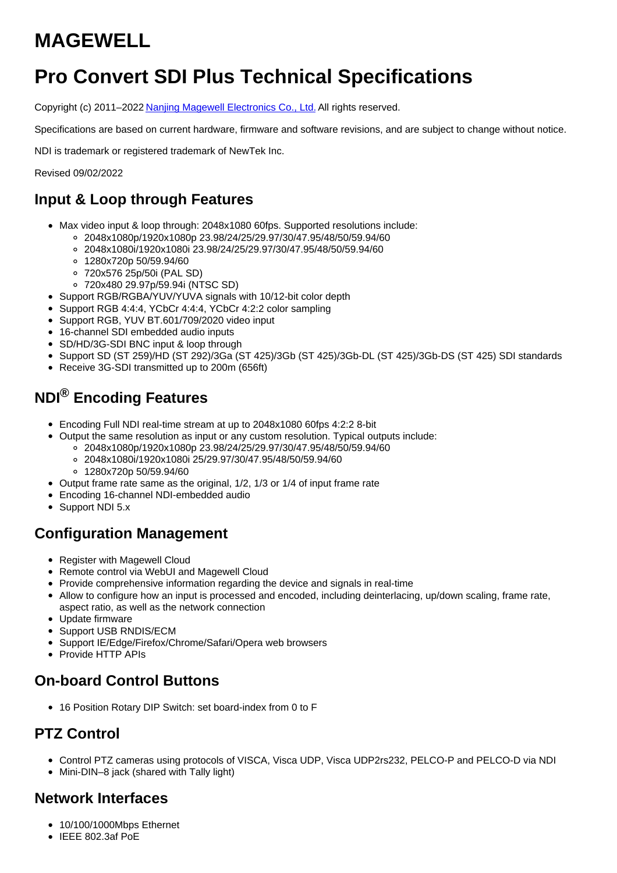# **MAGEWELL**

# **Pro Convert SDI Plus Technical Specifications**

Copyright (c) 2011–2022 Nanjing Magewell [Electronics](http://www.magewell.com) Co., Ltd. All rights reserved.

Specifications are based on current hardware, firmware and software revisions, and are subject to change without notice.

NDI is trademark or registered trademark of NewTek Inc.

Revised 09/02/2022

### **Input & Loop through Features**

- Max video input & loop through: 2048x1080 60fps. Supported resolutions include:
	- 2048x1080p/1920x1080p 23.98/24/25/29.97/30/47.95/48/50/59.94/60
	- 2048x1080i/1920x1080i 23.98/24/25/29.97/30/47.95/48/50/59.94/60
	- 1280x720p 50/59.94/60
	- 720x576 25p/50i (PAL SD)
	- 720x480 29.97p/59.94i (NTSC SD)
- Support RGB/RGBA/YUV/YUVA signals with 10/12-bit color depth
- Support RGB 4:4:4, YCbCr 4:4:4, YCbCr 4:2:2 color sampling
- Support RGB, YUV BT.601/709/2020 video input
- 16-channel SDI embedded audio inputs
- SD/HD/3G-SDI BNC input & loop through
- Support SD (ST 259)/HD (ST 292)/3Ga (ST 425)/3Gb (ST 425)/3Gb-DL (ST 425)/3Gb-DS (ST 425) SDI standards
- Receive 3G-SDI transmitted up to 200m (656ft)

## **NDI® Encoding Features**

- Encoding Full NDI real-time stream at up to 2048x1080 60fps 4:2:2 8-bit
- Output the same resolution as input or any custom resolution. Typical outputs include: 2048x1080p/1920x1080p 23.98/24/25/29.97/30/47.95/48/50/59.94/60
	- 2048x1080i/1920x1080i 25/29.97/30/47.95/48/50/59.94/60
	- 1280x720p 50/59.94/60
- Output frame rate same as the original, 1/2, 1/3 or 1/4 of input frame rate
- Encoding 16-channel NDI-embedded audio
- Support NDI 5.x

#### **Configuration Management**

- Register with Magewell Cloud
- Remote control via WebUI and Magewell Cloud
- Provide comprehensive information regarding the device and signals in real-time
- Allow to configure how an input is processed and encoded, including deinterlacing, up/down scaling, frame rate, aspect ratio, as well as the network connection
- Update firmware
- Support USB RNDIS/ECM
- Support IE/Edge/Firefox/Chrome/Safari/Opera web browsers
- Provide HTTP APIs

#### **On-board Control Buttons**

16 Position Rotary DIP Switch: set board-index from 0 to F

#### **PTZ Control**

- Control PTZ cameras using protocols of VISCA, Visca UDP, Visca UDP2rs232, PELCO-P and PELCO-D via NDI
- Mini-DIN–8 jack (shared with Tally light)

#### **Network Interfaces**

- 10/100/1000Mbps Ethernet
- $\bullet$  IEEE 802.3af PoE